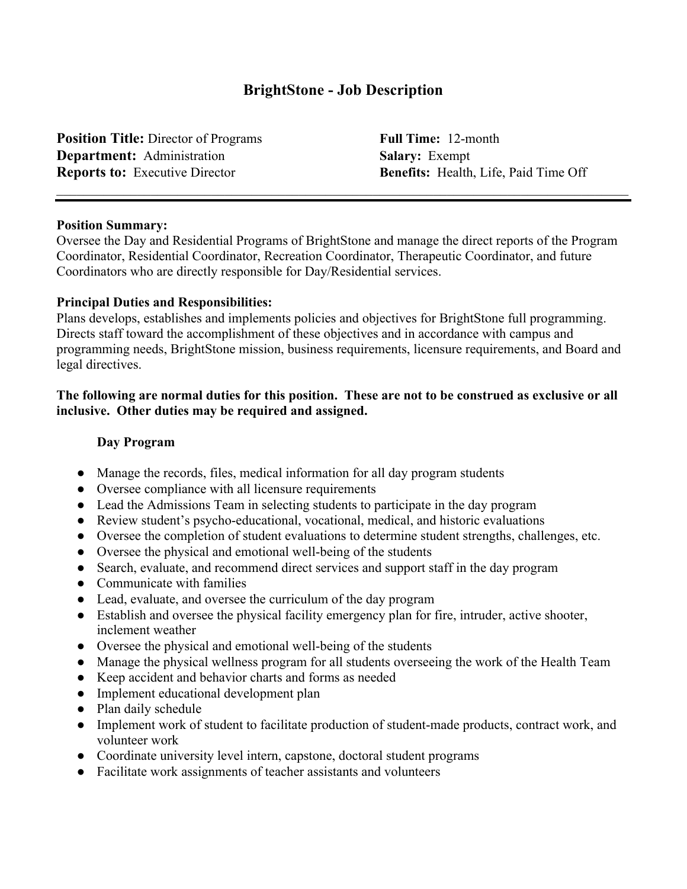# **BrightStone - Job Description**

**Position Title:** Director of Programs **Full Time:** 12-month **Department:** Administration **Salary:** Exempt

**Reports to:** Executive Director **Benefits:** Health, Life, Paid Time Off

#### **Position Summary:**

Oversee the Day and Residential Programs of BrightStone and manage the direct reports of the Program Coordinator, Residential Coordinator, Recreation Coordinator, Therapeutic Coordinator, and future Coordinators who are directly responsible for Day/Residential services.

#### **Principal Duties and Responsibilities:**

Plans develops, establishes and implements policies and objectives for BrightStone full programming. Directs staff toward the accomplishment of these objectives and in accordance with campus and programming needs, BrightStone mission, business requirements, licensure requirements, and Board and legal directives.

#### **The following are normal duties for this position. These are not to be construed as exclusive or all inclusive. Other duties may be required and assigned.**

#### **Day Program**

- Manage the records, files, medical information for all day program students
- Oversee compliance with all licensure requirements
- Lead the Admissions Team in selecting students to participate in the day program
- Review student's psycho-educational, vocational, medical, and historic evaluations
- Oversee the completion of student evaluations to determine student strengths, challenges, etc.
- Oversee the physical and emotional well-being of the students
- Search, evaluate, and recommend direct services and support staff in the day program
- Communicate with families
- Lead, evaluate, and oversee the curriculum of the day program
- Establish and oversee the physical facility emergency plan for fire, intruder, active shooter, inclement weather
- Oversee the physical and emotional well-being of the students
- Manage the physical wellness program for all students overseeing the work of the Health Team
- Keep accident and behavior charts and forms as needed
- Implement educational development plan
- Plan daily schedule
- Implement work of student to facilitate production of student-made products, contract work, and volunteer work
- Coordinate university level intern, capstone, doctoral student programs
- Facilitate work assignments of teacher assistants and volunteers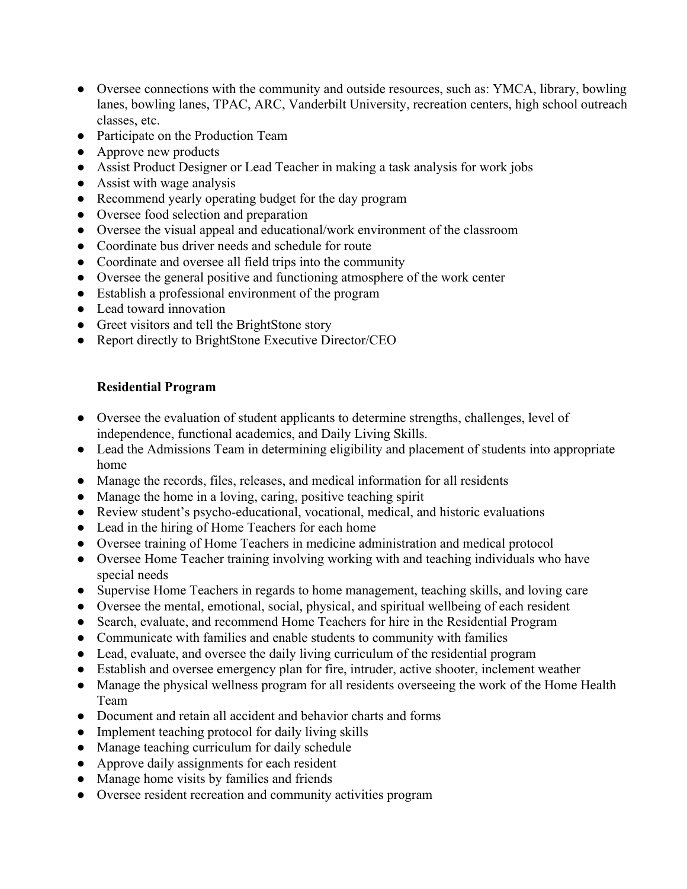- Oversee connections with the community and outside resources, such as: YMCA, library, bowling lanes, bowling lanes, TPAC, ARC, Vanderbilt University, recreation centers, high school outreach classes, etc.
- Participate on the Production Team
- Approve new products
- Assist Product Designer or Lead Teacher in making a task analysis for work jobs
- Assist with wage analysis
- Recommend yearly operating budget for the day program
- Oversee food selection and preparation
- Oversee the visual appeal and educational/work environment of the classroom
- Coordinate bus driver needs and schedule for route
- Coordinate and oversee all field trips into the community
- Oversee the general positive and functioning atmosphere of the work center
- Establish a professional environment of the program
- Lead toward innovation
- Greet visitors and tell the BrightStone story
- Report directly to BrightStone Executive Director/CEO

### **Residential Program**

- Oversee the evaluation of student applicants to determine strengths, challenges, level of independence, functional academics, and Daily Living Skills.
- Lead the Admissions Team in determining eligibility and placement of students into appropriate home
- Manage the records, files, releases, and medical information for all residents
- Manage the home in a loving, caring, positive teaching spirit
- Review student's psycho-educational, vocational, medical, and historic evaluations
- Lead in the hiring of Home Teachers for each home
- Oversee training of Home Teachers in medicine administration and medical protocol
- Oversee Home Teacher training involving working with and teaching individuals who have special needs
- Supervise Home Teachers in regards to home management, teaching skills, and loving care
- Oversee the mental, emotional, social, physical, and spiritual wellbeing of each resident
- Search, evaluate, and recommend Home Teachers for hire in the Residential Program
- Communicate with families and enable students to community with families
- Lead, evaluate, and oversee the daily living curriculum of the residential program
- Establish and oversee emergency plan for fire, intruder, active shooter, inclement weather
- Manage the physical wellness program for all residents overseeing the work of the Home Health Team
- Document and retain all accident and behavior charts and forms
- Implement teaching protocol for daily living skills
- Manage teaching curriculum for daily schedule
- Approve daily assignments for each resident
- Manage home visits by families and friends
- Oversee resident recreation and community activities program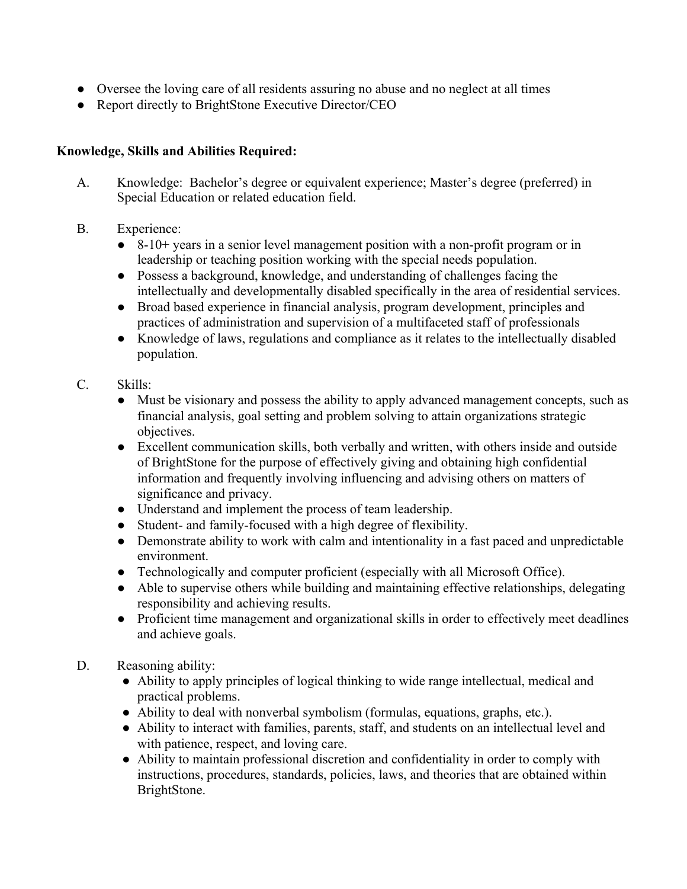- Oversee the loving care of all residents assuring no abuse and no neglect at all times
- Report directly to BrightStone Executive Director/CEO

# **Knowledge, Skills and Abilities Required:**

- A. Knowledge: Bachelor's degree or equivalent experience; Master's degree (preferred) in Special Education or related education field.
- B. Experience:
	- 8-10+ years in a senior level management position with a non-profit program or in leadership or teaching position working with the special needs population.
	- Possess a background, knowledge, and understanding of challenges facing the intellectually and developmentally disabled specifically in the area of residential services.
	- Broad based experience in financial analysis, program development, principles and practices of administration and supervision of a multifaceted staff of professionals
	- Knowledge of laws, regulations and compliance as it relates to the intellectually disabled population.

# C. Skills:

- Must be visionary and possess the ability to apply advanced management concepts, such as financial analysis, goal setting and problem solving to attain organizations strategic objectives.
- Excellent communication skills, both verbally and written, with others inside and outside of BrightStone for the purpose of effectively giving and obtaining high confidential information and frequently involving influencing and advising others on matters of significance and privacy.
- Understand and implement the process of team leadership.
- Student- and family-focused with a high degree of flexibility.
- Demonstrate ability to work with calm and intentionality in a fast paced and unpredictable environment.
- Technologically and computer proficient (especially with all Microsoft Office).
- Able to supervise others while building and maintaining effective relationships, delegating responsibility and achieving results.
- Proficient time management and organizational skills in order to effectively meet deadlines and achieve goals.

### D. Reasoning ability:

- Ability to apply principles of logical thinking to wide range intellectual, medical and practical problems.
- Ability to deal with nonverbal symbolism (formulas, equations, graphs, etc.).
- Ability to interact with families, parents, staff, and students on an intellectual level and with patience, respect, and loving care.
- Ability to maintain professional discretion and confidentiality in order to comply with instructions, procedures, standards, policies, laws, and theories that are obtained within BrightStone.